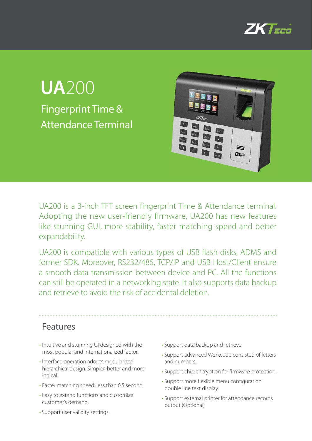

## Fingerprint Time & Attendance Terminal **UA**200



UA200 is a 3-inch TFT screen fingerprint Time & Attendance terminal. Adopting the new user-friendly firmware, UA200 has new features like stunning GUI, more stability, faster matching speed and better expandability.

UA200 is compatible with various types of USB flash disks, ADMS and former SDK. Moreover, RS232/485, TCP/IP and USB Host/Client ensure a smooth data transmission between device and PC. All the functions can still be operated in a networking state. It also supports data backup and retrieve to avoid the risk of accidental deletion.

#### Features

- Intuitive and stunning UI designed with the most popular and internationalized factor.
- Interface operation adopts modularized hierarchical design. Simpler, better and more logical.
- Faster matching speed: less than 0.5 second.
- Easy to extend functions and customize customer's demand.
- Support user validity settings.
- Support data backup and retrieve
- Support advanced Workcode consisted of letters and numbers.
- Support chip encryption for firmware protection.
- Support more flexible menu configuration: double line text display.
- Support external printer for attendance records output (Optional)